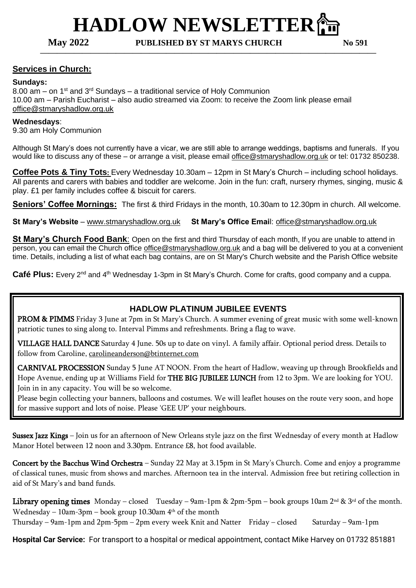# **HADLOW NEWSLETTER**⛪️

**May 2022 PUBLISHED BY ST MARYS CHURCH No 591 ————————————————————————————————————————**

#### **Services in Church:**

#### **Sundays:**

8.00 am – on  $1<sup>st</sup>$  and  $3<sup>rd</sup>$  Sundays – a traditional service of Holy Communion 10.00 am – Parish Eucharist – also audio streamed via Zoom: to receive the Zoom link please email [office@stmaryshadlow.org.uk](mailto:office@stmaryshadlow.org.uk)

#### **Wednesdays**:

9.30 am Holy Communion

Although St Mary's does not currently have a vicar, we are still able to arrange weddings, baptisms and funerals. If you would like to discuss any of these – or arrange a visit, please email [office@stmaryshadlow.org.uk](mailto:office@stmaryshadlow.org.uk) or tel: 01732 850238.

**Coffee Pots & Tiny Tots**: Every Wednesday 10.30am – 12pm in St Mary's Church – including school holidays. All parents and carers with babies and toddler are welcome. Join in the fun: craft, nursery rhymes, singing, music & play. £1 per family includes coffee & biscuit for carers.

**Seniors' Coffee Mornings:** The first & third Fridays in the month, 10.30am to 12.30pm in church. All welcome.

**St Mary's Website** – [www.stmaryshadlow.org.uk](http://www.stmaryshadlow.org.uk/) **St Mary's Office Emai**l: [office@stmaryshadlow.org.uk](mailto:office@stmaryshadlow.org.uk)

**St Mary's Church Food Bank**: Open on the first and third Thursday of each month, If you are unable to attend in person, you can email the Church office [office@stmaryshadlow.org.uk](mailto:office@stmaryshadlow.org.uk) and a bag will be delivered to you at a convenient time. Details, including a list of what each bag contains, are on St Mary's Church website and the Parish Office website

Café Plus: Every 2<sup>nd</sup> and 4<sup>th</sup> Wednesday 1-3pm in St Mary's Church. Come for crafts, good company and a cuppa.

#### **HADLOW PLATINUM JUBILEE EVENTS**

PROM & PIMMS Friday 3 June at 7pm in St Mary's Church. A summer evening of great music with some well-known patriotic tunes to sing along to. Interval Pimms and refreshments. Bring a flag to wave.

VILLAGE HALL DANCE Saturday 4 June. 50s up to date on vinyl. A family affair. Optional period dress. Details to follow from Caroline, [carolineanderson@btinternet.com](mailto:carolineanderson@btinternet.com)

CARNIVAL PROCESSION Sunday 5 June AT NOON. From the heart of Hadlow, weaving up through Brookfields and Hope Avenue, ending up at Williams Field for THE BIG JUBILEE LUNCH from 12 to 3pm. We are looking for YOU. Join in in any capacity. You will be so welcome.

Please begin collecting your banners, balloons and costumes. We will leaflet houses on the route very soon, and hope for massive support and lots of noise. Please 'GEE UP' your neighbours.

Sussex Jazz Kings – Join us for an afternoon of New Orleans style jazz on the first Wednesday of every month at Hadlow Manor Hotel between 12 noon and 3.30pm. Entrance £8, hot food available.

Concert by the Bacchus Wind Orchestra – Sunday 22 May at 3.15pm in St Mary's Church. Come and enjoy a programme of classical tunes, music from shows and marches. Afternoon tea in the interval. Admission free but retiring collection in aid of St Mary's and band funds.

**Library opening times** Monday – closed Tuesday – 9am-1pm & 2pm-5pm – book groups 10am 2nd & 3rd of the month. Wednesday – 10am-3pm – book group 10.30am 4th of the month Thursday – 9am-1pm and 2pm-5pm – 2pm every week Knit and Natter Friday – closed Saturday – 9am-1pm

**Hospital Car Service:** For transport to a hospital or medical appointment, contact Mike Harvey on 01732 851881